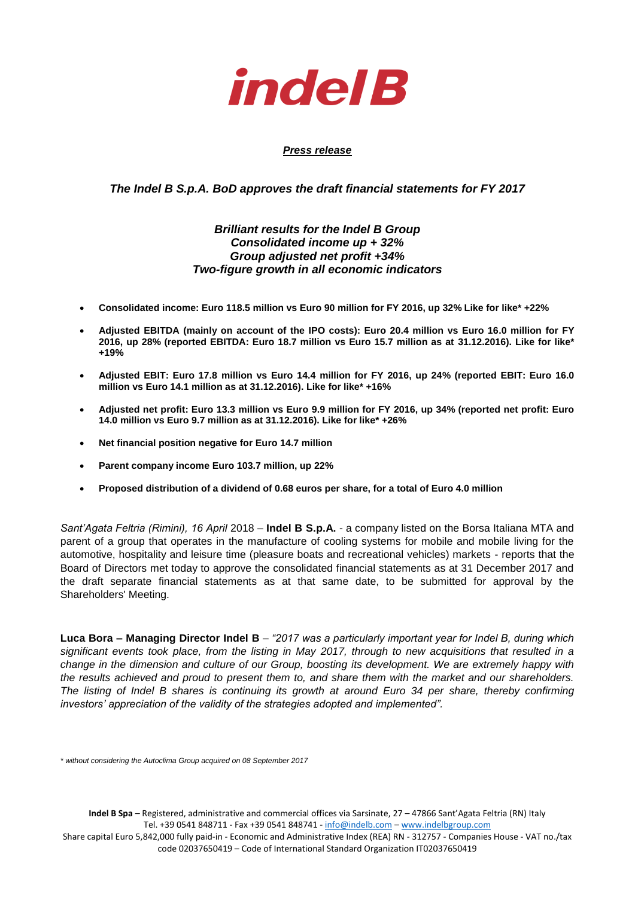

## *Press release*

# *The Indel B S.p.A. BoD approves the draft financial statements for FY 2017*

# *Brilliant results for the Indel B Group Consolidated income up + 32% Group adjusted net profit +34% Two-figure growth in all economic indicators*

- **Consolidated income: Euro 118.5 million vs Euro 90 million for FY 2016, up 32% Like for like\* +22%**
- **Adjusted EBITDA (mainly on account of the IPO costs): Euro 20.4 million vs Euro 16.0 million for FY 2016, up 28% (reported EBITDA: Euro 18.7 million vs Euro 15.7 million as at 31.12.2016). Like for like\* +19%**
- **Adjusted EBIT: Euro 17.8 million vs Euro 14.4 million for FY 2016, up 24% (reported EBIT: Euro 16.0 million vs Euro 14.1 million as at 31.12.2016). Like for like\* +16%**
- **Adjusted net profit: Euro 13.3 million vs Euro 9.9 million for FY 2016, up 34% (reported net profit: Euro 14.0 million vs Euro 9.7 million as at 31.12.2016). Like for like\* +26%**
- **Net financial position negative for Euro 14.7 million**
- **Parent company income Euro 103.7 million, up 22%**
- **Proposed distribution of a dividend of 0.68 euros per share, for a total of Euro 4.0 million**

*Sant'Agata Feltria (Rimini), 16 April* 2018 – **Indel B S.p.A.** - a company listed on the Borsa Italiana MTA and parent of a group that operates in the manufacture of cooling systems for mobile and mobile living for the automotive, hospitality and leisure time (pleasure boats and recreational vehicles) markets - reports that the Board of Directors met today to approve the consolidated financial statements as at 31 December 2017 and the draft separate financial statements as at that same date, to be submitted for approval by the Shareholders' Meeting.

**Luca Bora – Managing Director Indel B** – *"2017 was a particularly important year for Indel B, during which significant events took place, from the listing in May 2017, through to new acquisitions that resulted in a change in the dimension and culture of our Group, boosting its development. We are extremely happy with the results achieved and proud to present them to, and share them with the market and our shareholders. The listing of Indel B shares is continuing its growth at around Euro 34 per share, thereby confirming investors' appreciation of the validity of the strategies adopted and implemented".*

*\* without considering the Autoclima Group acquired on 08 September 2017*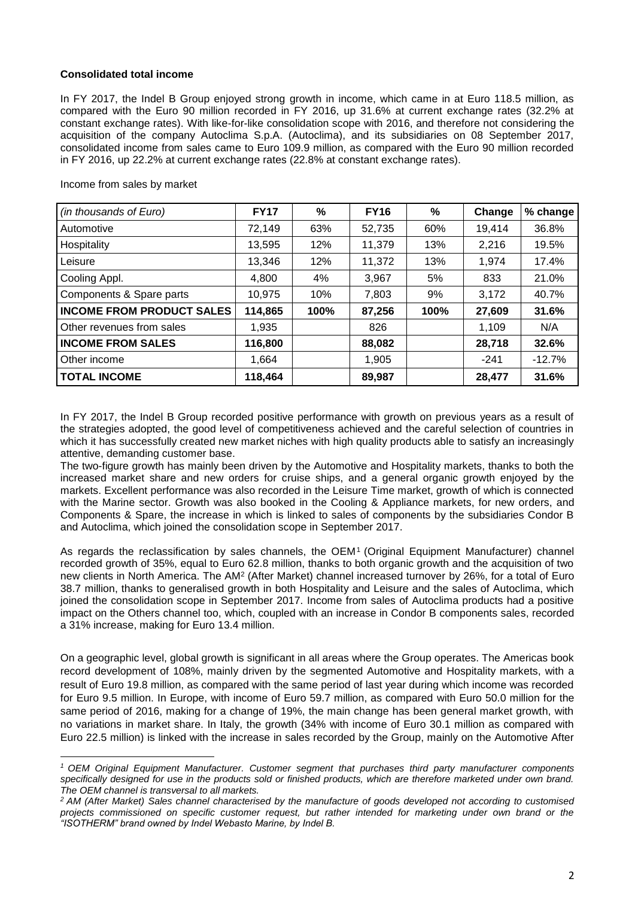## **Consolidated total income**

In FY 2017, the Indel B Group enjoyed strong growth in income, which came in at Euro 118.5 million, as compared with the Euro 90 million recorded in FY 2016, up 31.6% at current exchange rates (32.2% at constant exchange rates). With like-for-like consolidation scope with 2016, and therefore not considering the acquisition of the company Autoclima S.p.A. (Autoclima), and its subsidiaries on 08 September 2017, consolidated income from sales came to Euro 109.9 million, as compared with the Euro 90 million recorded in FY 2016, up 22.2% at current exchange rates (22.8% at constant exchange rates).

Income from sales by market

**.** 

| (in thousands of Euro)           | <b>FY17</b> | %    | <b>FY16</b> | %    | Change | % change |
|----------------------------------|-------------|------|-------------|------|--------|----------|
| Automotive                       | 72,149      | 63%  | 52,735      | 60%  | 19,414 | 36.8%    |
| Hospitality                      | 13,595      | 12%  | 11,379      | 13%  | 2,216  | 19.5%    |
| Leisure                          | 13,346      | 12%  | 11,372      | 13%  | 1,974  | 17.4%    |
| Cooling Appl.                    | 4,800       | 4%   | 3,967       | 5%   | 833    | 21.0%    |
| Components & Spare parts         | 10.975      | 10%  | 7,803       | 9%   | 3,172  | 40.7%    |
| <b>INCOME FROM PRODUCT SALES</b> | 114,865     | 100% | 87,256      | 100% | 27,609 | 31.6%    |
| Other revenues from sales        | 1,935       |      | 826         |      | 1.109  | N/A      |
| <b>INCOME FROM SALES</b>         | 116,800     |      | 88,082      |      | 28,718 | 32.6%    |
| Other income                     | 1,664       |      | 1,905       |      | $-241$ | $-12.7%$ |
| TOTAL INCOME                     | 118,464     |      | 89,987      |      | 28,477 | 31.6%    |

In FY 2017, the Indel B Group recorded positive performance with growth on previous years as a result of the strategies adopted, the good level of competitiveness achieved and the careful selection of countries in which it has successfully created new market niches with high quality products able to satisfy an increasingly attentive, demanding customer base.

The two-figure growth has mainly been driven by the Automotive and Hospitality markets, thanks to both the increased market share and new orders for cruise ships, and a general organic growth enjoyed by the markets. Excellent performance was also recorded in the Leisure Time market, growth of which is connected with the Marine sector. Growth was also booked in the Cooling & Appliance markets, for new orders, and Components & Spare, the increase in which is linked to sales of components by the subsidiaries Condor B and Autoclima, which joined the consolidation scope in September 2017.

As regards the reclassification by sales channels, the OEM<sup>1</sup> (Original Equipment Manufacturer) channel recorded growth of 35%, equal to Euro 62.8 million, thanks to both organic growth and the acquisition of two new clients in North America. The AM<sup>2</sup> (After Market) channel increased turnover by 26%, for a total of Euro 38.7 million, thanks to generalised growth in both Hospitality and Leisure and the sales of Autoclima, which joined the consolidation scope in September 2017. Income from sales of Autoclima products had a positive impact on the Others channel too, which, coupled with an increase in Condor B components sales, recorded a 31% increase, making for Euro 13.4 million.

On a geographic level, global growth is significant in all areas where the Group operates. The Americas book record development of 108%, mainly driven by the segmented Automotive and Hospitality markets, with a result of Euro 19.8 million, as compared with the same period of last year during which income was recorded for Euro 9.5 million. In Europe, with income of Euro 59.7 million, as compared with Euro 50.0 million for the same period of 2016, making for a change of 19%, the main change has been general market growth, with no variations in market share. In Italy, the growth (34% with income of Euro 30.1 million as compared with Euro 22.5 million) is linked with the increase in sales recorded by the Group, mainly on the Automotive After

*<sup>1</sup> OEM Original Equipment Manufacturer. Customer segment that purchases third party manufacturer components specifically designed for use in the products sold or finished products, which are therefore marketed under own brand. The OEM channel is transversal to all markets.*

*<sup>2</sup> AM (After Market) Sales channel characterised by the manufacture of goods developed not according to customised projects commissioned on specific customer request, but rather intended for marketing under own brand or the "ISOTHERM" brand owned by Indel Webasto Marine, by Indel B.*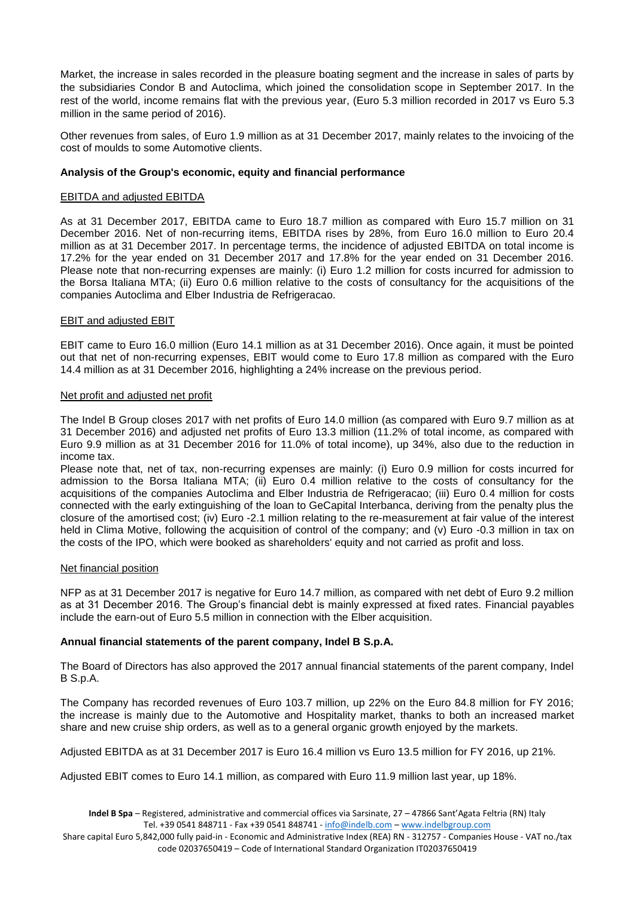Market, the increase in sales recorded in the pleasure boating segment and the increase in sales of parts by the subsidiaries Condor B and Autoclima, which joined the consolidation scope in September 2017. In the rest of the world, income remains flat with the previous year, (Euro 5.3 million recorded in 2017 vs Euro 5.3 million in the same period of 2016).

Other revenues from sales, of Euro 1.9 million as at 31 December 2017, mainly relates to the invoicing of the cost of moulds to some Automotive clients.

## **Analysis of the Group's economic, equity and financial performance**

#### EBITDA and adjusted EBITDA

As at 31 December 2017, EBITDA came to Euro 18.7 million as compared with Euro 15.7 million on 31 December 2016. Net of non-recurring items, EBITDA rises by 28%, from Euro 16.0 million to Euro 20.4 million as at 31 December 2017. In percentage terms, the incidence of adjusted EBITDA on total income is 17.2% for the year ended on 31 December 2017 and 17.8% for the year ended on 31 December 2016. Please note that non-recurring expenses are mainly: (i) Euro 1.2 million for costs incurred for admission to the Borsa Italiana MTA; (ii) Euro 0.6 million relative to the costs of consultancy for the acquisitions of the companies Autoclima and Elber Industria de Refrigeracao.

#### EBIT and adjusted EBIT

EBIT came to Euro 16.0 million (Euro 14.1 million as at 31 December 2016). Once again, it must be pointed out that net of non-recurring expenses, EBIT would come to Euro 17.8 million as compared with the Euro 14.4 million as at 31 December 2016, highlighting a 24% increase on the previous period.

#### Net profit and adjusted net profit

The Indel B Group closes 2017 with net profits of Euro 14.0 million (as compared with Euro 9.7 million as at 31 December 2016) and adjusted net profits of Euro 13.3 million (11.2% of total income, as compared with Euro 9.9 million as at 31 December 2016 for 11.0% of total income), up 34%, also due to the reduction in income tax.

Please note that, net of tax, non-recurring expenses are mainly: (i) Euro 0.9 million for costs incurred for admission to the Borsa Italiana MTA; (ii) Euro 0.4 million relative to the costs of consultancy for the acquisitions of the companies Autoclima and Elber Industria de Refrigeracao; (iii) Euro 0.4 million for costs connected with the early extinguishing of the loan to GeCapital Interbanca, deriving from the penalty plus the closure of the amortised cost; (iv) Euro -2.1 million relating to the re-measurement at fair value of the interest held in Clima Motive, following the acquisition of control of the company; and (v) Euro -0.3 million in tax on the costs of the IPO, which were booked as shareholders' equity and not carried as profit and loss.

#### Net financial position

NFP as at 31 December 2017 is negative for Euro 14.7 million, as compared with net debt of Euro 9.2 million as at 31 December 2016. The Group's financial debt is mainly expressed at fixed rates. Financial payables include the earn-out of Euro 5.5 million in connection with the Elber acquisition.

#### **Annual financial statements of the parent company, Indel B S.p.A.**

The Board of Directors has also approved the 2017 annual financial statements of the parent company, Indel B S.p.A.

The Company has recorded revenues of Euro 103.7 million, up 22% on the Euro 84.8 million for FY 2016; the increase is mainly due to the Automotive and Hospitality market, thanks to both an increased market share and new cruise ship orders, as well as to a general organic growth enjoyed by the markets.

Adjusted EBITDA as at 31 December 2017 is Euro 16.4 million vs Euro 13.5 million for FY 2016, up 21%.

Adjusted EBIT comes to Euro 14.1 million, as compared with Euro 11.9 million last year, up 18%.

Share capital Euro 5,842,000 fully paid-in - Economic and Administrative Index (REA) RN - 312757 - Companies House - VAT no./tax code 02037650419 – Code of International Standard Organization IT02037650419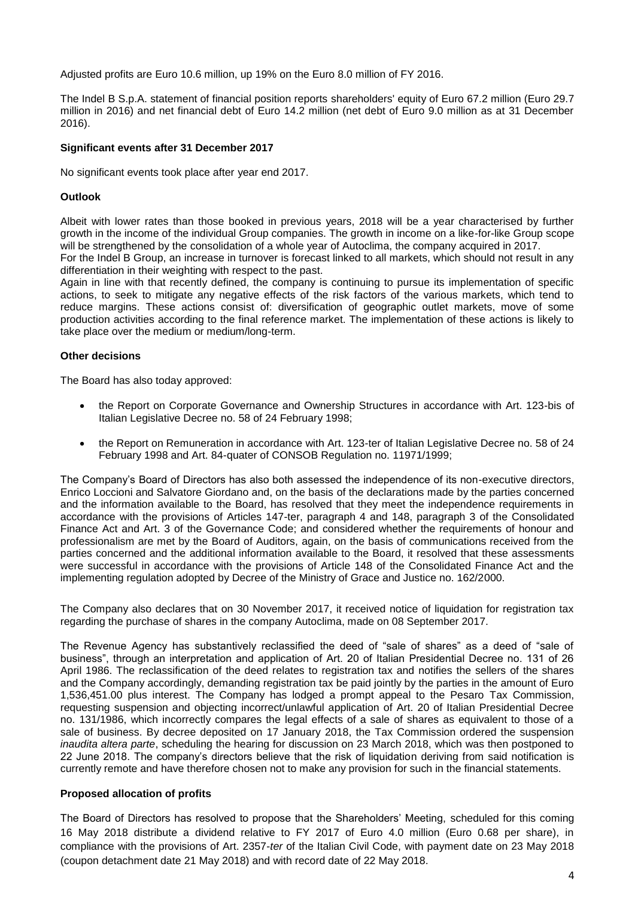Adjusted profits are Euro 10.6 million, up 19% on the Euro 8.0 million of FY 2016.

The Indel B S.p.A. statement of financial position reports shareholders' equity of Euro 67.2 million (Euro 29.7 million in 2016) and net financial debt of Euro 14.2 million (net debt of Euro 9.0 million as at 31 December 2016).

## **Significant events after 31 December 2017**

No significant events took place after year end 2017.

## **Outlook**

Albeit with lower rates than those booked in previous years, 2018 will be a year characterised by further growth in the income of the individual Group companies. The growth in income on a like-for-like Group scope will be strengthened by the consolidation of a whole year of Autoclima, the company acquired in 2017.

For the Indel B Group, an increase in turnover is forecast linked to all markets, which should not result in any differentiation in their weighting with respect to the past.

Again in line with that recently defined, the company is continuing to pursue its implementation of specific actions, to seek to mitigate any negative effects of the risk factors of the various markets, which tend to reduce margins. These actions consist of: diversification of geographic outlet markets, move of some production activities according to the final reference market. The implementation of these actions is likely to take place over the medium or medium/long-term.

#### **Other decisions**

The Board has also today approved:

- the Report on Corporate Governance and Ownership Structures in accordance with Art. 123-bis of Italian Legislative Decree no. 58 of 24 February 1998;
- the Report on Remuneration in accordance with Art. 123-ter of Italian Legislative Decree no. 58 of 24 February 1998 and Art. 84-quater of CONSOB Regulation no. 11971/1999;

The Company's Board of Directors has also both assessed the independence of its non-executive directors, Enrico Loccioni and Salvatore Giordano and, on the basis of the declarations made by the parties concerned and the information available to the Board, has resolved that they meet the independence requirements in accordance with the provisions of Articles 147-ter, paragraph 4 and 148, paragraph 3 of the Consolidated Finance Act and Art. 3 of the Governance Code; and considered whether the requirements of honour and professionalism are met by the Board of Auditors, again, on the basis of communications received from the parties concerned and the additional information available to the Board, it resolved that these assessments were successful in accordance with the provisions of Article 148 of the Consolidated Finance Act and the implementing regulation adopted by Decree of the Ministry of Grace and Justice no. 162/2000.

The Company also declares that on 30 November 2017, it received notice of liquidation for registration tax regarding the purchase of shares in the company Autoclima, made on 08 September 2017.

The Revenue Agency has substantively reclassified the deed of "sale of shares" as a deed of "sale of business", through an interpretation and application of Art. 20 of Italian Presidential Decree no. 131 of 26 April 1986. The reclassification of the deed relates to registration tax and notifies the sellers of the shares and the Company accordingly, demanding registration tax be paid jointly by the parties in the amount of Euro 1,536,451.00 plus interest. The Company has lodged a prompt appeal to the Pesaro Tax Commission, requesting suspension and objecting incorrect/unlawful application of Art. 20 of Italian Presidential Decree no. 131/1986, which incorrectly compares the legal effects of a sale of shares as equivalent to those of a sale of business. By decree deposited on 17 January 2018, the Tax Commission ordered the suspension *inaudita altera parte*, scheduling the hearing for discussion on 23 March 2018, which was then postponed to 22 June 2018. The company's directors believe that the risk of liquidation deriving from said notification is currently remote and have therefore chosen not to make any provision for such in the financial statements.

#### **Proposed allocation of profits**

The Board of Directors has resolved to propose that the Shareholders' Meeting, scheduled for this coming 16 May 2018 distribute a dividend relative to FY 2017 of Euro 4.0 million (Euro 0.68 per share), in compliance with the provisions of Art. 2357-*ter* of the Italian Civil Code, with payment date on 23 May 2018 (coupon detachment date 21 May 2018) and with record date of 22 May 2018.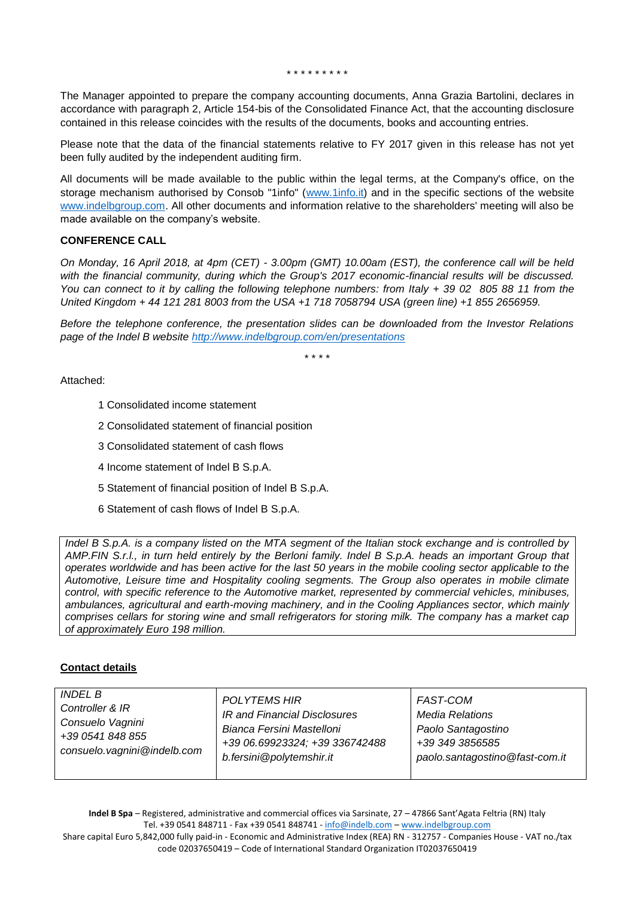\* \* \* \* \* \* \* \* \*

The Manager appointed to prepare the company accounting documents, Anna Grazia Bartolini, declares in accordance with paragraph 2, Article 154-bis of the Consolidated Finance Act, that the accounting disclosure contained in this release coincides with the results of the documents, books and accounting entries.

Please note that the data of the financial statements relative to FY 2017 given in this release has not yet been fully audited by the independent auditing firm.

All documents will be made available to the public within the legal terms, at the Company's office, on the storage mechanism authorised by Consob "1info" [\(www.1info.it\)](http://www.1info.it/) and in the specific sections of the website [www.indelbgroup.com.](www.indelbgroup.com%20) All other documents and information relative to the shareholders' meeting will also be made available on the company's website.

#### **CONFERENCE CALL**

*On Monday, 16 April 2018, at 4pm (CET) - 3.00pm (GMT) 10.00am (EST), the conference call will be held*  with the financial community, during which the Group's 2017 economic-financial results will be discussed. *You can connect to it by calling the following telephone numbers: from Italy + 39 02 805 88 11 from the United Kingdom + 44 121 281 8003 from the USA +1 718 7058794 USA (green line) +1 855 2656959.*

*Before the telephone conference, the presentation slides can be downloaded from the Investor Relations page of the Indel B website [http://www.indelbgroup.com/en/presentations](http://www.indelbgroup.com/en/en/presentations)*

\* \* \* \*

Attached:

- 1 Consolidated income statement
- 2 Consolidated statement of financial position
- 3 Consolidated statement of cash flows
- 4 Income statement of Indel B S.p.A.
- 5 Statement of financial position of Indel B S.p.A.
- 6 Statement of cash flows of Indel B S.p.A.

*Indel B S.p.A. is a company listed on the MTA segment of the Italian stock exchange and is controlled by AMP.FIN S.r.l., in turn held entirely by the Berloni family. Indel B S.p.A. heads an important Group that operates worldwide and has been active for the last 50 years in the mobile cooling sector applicable to the Automotive, Leisure time and Hospitality cooling segments. The Group also operates in mobile climate control, with specific reference to the Automotive market, represented by commercial vehicles, minibuses, ambulances, agricultural and earth-moving machinery, and in the Cooling Appliances sector, which mainly comprises cellars for storing wine and small refrigerators for storing milk. The company has a market cap of approximately Euro 198 million.*

#### **Contact details**

| INDEL B                     | POLYTEMS HIR                   | FAST-COM                       |
|-----------------------------|--------------------------------|--------------------------------|
| Controller & IR             | IR and Financial Disclosures   | Media Relations                |
| Consuelo Vagnini            | Bianca Fersini Mastelloni      | Paolo Santagostino             |
| +39 0541 848 855            | +39 06.69923324; +39 336742488 | +39 349 3856585                |
| consuelo.vagnini@indelb.com | b.fersini@polytemshir.it       | paolo.santagostino@fast-com.it |

**Indel B Spa** – Registered, administrative and commercial offices via Sarsinate, 27 – 47866 Sant'Agata Feltria (RN) Italy Tel. +39 0541 848711 - Fax +39 0541 848741 - [info@indelb.com](mailto:info@indelb.com) – [www.indelbgroup.com](http://www.indelbgroup.com/) Share capital Euro 5,842,000 fully paid-in - Economic and Administrative Index (REA) RN - 312757 - Companies House - VAT no./tax code 02037650419 – Code of International Standard Organization IT02037650419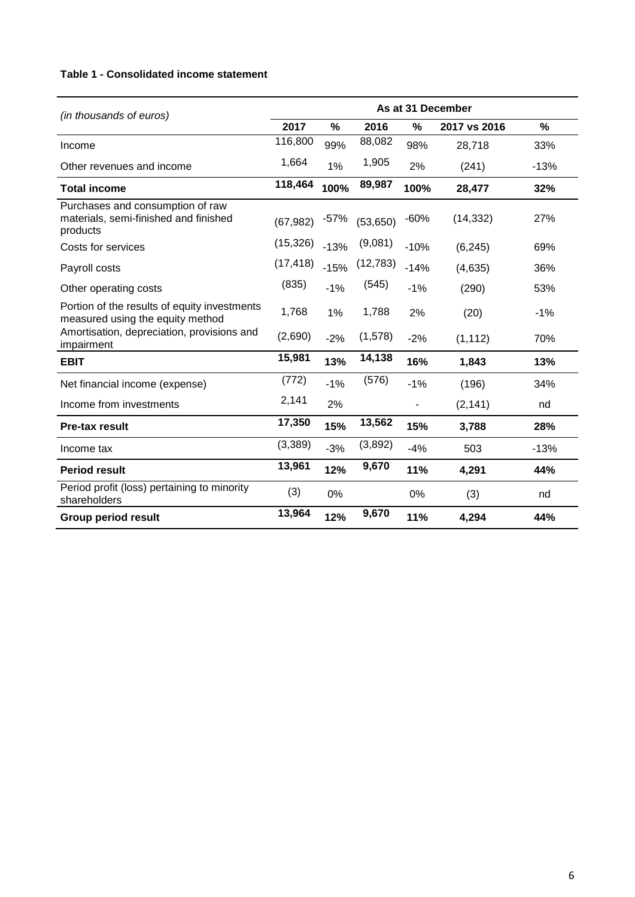# **Table 1 - Consolidated income statement**

| (in thousands of euros)                                                               | As at 31 December |        |           |               |              |               |
|---------------------------------------------------------------------------------------|-------------------|--------|-----------|---------------|--------------|---------------|
|                                                                                       | 2017              | $\%$   | 2016      | $\frac{0}{0}$ | 2017 vs 2016 | $\frac{9}{6}$ |
| Income                                                                                | 116,800           | 99%    | 88,082    | 98%           | 28,718       | 33%           |
| Other revenues and income                                                             | 1,664             | 1%     | 1,905     | 2%            | (241)        | $-13%$        |
| <b>Total income</b>                                                                   | 118,464           | 100%   | 89,987    | 100%          | 28,477       | 32%           |
| Purchases and consumption of raw<br>materials, semi-finished and finished<br>products | (67, 982)         | $-57%$ | (53, 650) | $-60%$        | (14, 332)    | 27%           |
| Costs for services                                                                    | (15, 326)         | $-13%$ | (9,081)   | $-10%$        | (6, 245)     | 69%           |
| Payroll costs                                                                         | (17, 418)         | $-15%$ | (12,783)  | $-14%$        | (4,635)      | 36%           |
| Other operating costs                                                                 | (835)             | $-1%$  | (545)     | $-1%$         | (290)        | 53%           |
| Portion of the results of equity investments<br>measured using the equity method      | 1,768             | 1%     | 1,788     | 2%            | (20)         | $-1%$         |
| Amortisation, depreciation, provisions and<br>impairment                              | (2,690)           | $-2%$  | (1,578)   | $-2%$         | (1, 112)     | 70%           |
| <b>EBIT</b>                                                                           | 15,981            | 13%    | 14,138    | 16%           | 1,843        | 13%           |
| Net financial income (expense)                                                        | (772)             | $-1%$  | (576)     | $-1%$         | (196)        | 34%           |
| Income from investments                                                               | 2,141             | 2%     |           | -             | (2, 141)     | nd            |
| <b>Pre-tax result</b>                                                                 | 17,350            | 15%    | 13,562    | 15%           | 3,788        | 28%           |
| Income tax                                                                            | (3,389)           | $-3%$  | (3,892)   | $-4%$         | 503          | $-13%$        |
| <b>Period result</b>                                                                  | 13,961            | 12%    | 9,670     | 11%           | 4,291        | 44%           |
| Period profit (loss) pertaining to minority<br>shareholders                           | (3)               | 0%     |           | 0%            | (3)          | nd            |
| <b>Group period result</b>                                                            | 13,964            | 12%    | 9,670     | 11%           | 4,294        | 44%           |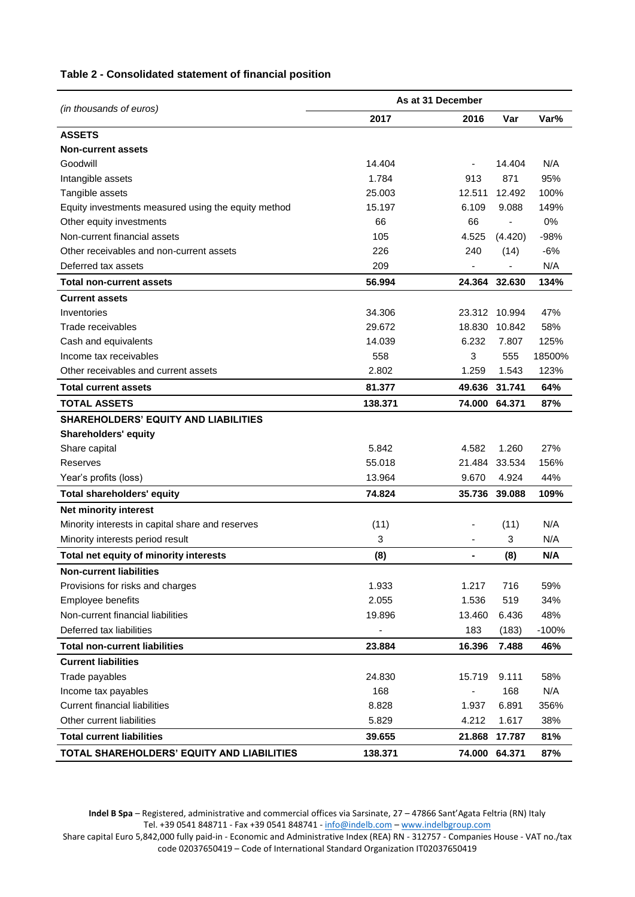#### **Table 2 - Consolidated statement of financial position**

| (in thousands of euros)                             | As at 31 December |                |               |         |
|-----------------------------------------------------|-------------------|----------------|---------------|---------|
|                                                     | 2017              | 2016           | Var           | Var%    |
| <b>ASSETS</b>                                       |                   |                |               |         |
| <b>Non-current assets</b>                           |                   |                |               |         |
| Goodwill                                            | 14.404            |                | 14.404        | N/A     |
| Intangible assets                                   | 1.784             | 913            | 871           | 95%     |
| Tangible assets                                     | 25.003            | 12.511         | 12.492        | 100%    |
| Equity investments measured using the equity method | 15.197            | 6.109          | 9.088         | 149%    |
| Other equity investments                            | 66                | 66             |               | 0%      |
| Non-current financial assets                        | 105               | 4.525          | (4.420)       | $-98%$  |
| Other receivables and non-current assets            | 226               | 240            | (14)          | $-6%$   |
| Deferred tax assets                                 | 209               |                |               | N/A     |
| <b>Total non-current assets</b>                     | 56.994            |                | 24.364 32.630 | 134%    |
| <b>Current assets</b>                               |                   |                |               |         |
| Inventories                                         | 34.306            | 23.312         | 10.994        | 47%     |
| Trade receivables                                   | 29.672            | 18.830         | 10.842        | 58%     |
| Cash and equivalents                                | 14.039            | 6.232          | 7.807         | 125%    |
| Income tax receivables                              | 558               | 3              | 555           | 18500%  |
| Other receivables and current assets                | 2.802             | 1.259          | 1.543         | 123%    |
| <b>Total current assets</b>                         | 81.377            | 49.636         | 31.741        | 64%     |
| <b>TOTAL ASSETS</b>                                 | 138.371           |                | 74.000 64.371 | 87%     |
| <b>SHAREHOLDERS' EQUITY AND LIABILITIES</b>         |                   |                |               |         |
| Shareholders' equity                                |                   |                |               |         |
| Share capital                                       | 5.842             | 4.582          | 1.260         | 27%     |
| Reserves                                            | 55.018            | 21.484         | 33.534        | 156%    |
| Year's profits (loss)                               | 13.964            | 9.670          | 4.924         | 44%     |
| <b>Total shareholders' equity</b>                   | 74.824            | 35.736         | 39.088        | 109%    |
| Net minority interest                               |                   |                |               |         |
| Minority interests in capital share and reserves    | (11)              |                | (11)          | N/A     |
| Minority interests period result                    | 3                 | ٠              | 3             | N/A     |
| Total net equity of minority interests              | (8)               | $\blacksquare$ | (8)           | N/A     |
| <b>Non-current liabilities</b>                      |                   |                |               |         |
| Provisions for risks and charges                    | 1.933             | 1.217          | 716           | 59%     |
| Employee benefits                                   | 2.055             | 1.536          | 519           | 34%     |
| Non-current financial liabilities                   | 19.896            | 13.460         | 6.436         | 48%     |
| Deferred tax liabilities                            | ä,                | 183            | (183)         | $-100%$ |
| <b>Total non-current liabilities</b>                | 23.884            | 16.396         | 7.488         | 46%     |
| <b>Current liabilities</b>                          |                   |                |               |         |
| Trade payables                                      | 24.830            | 15.719         | 9.111         | 58%     |
| Income tax payables                                 | 168               |                | 168           | N/A     |
| <b>Current financial liabilities</b>                | 8.828             | 1.937          | 6.891         | 356%    |
| Other current liabilities                           | 5.829             | 4.212          | 1.617         | 38%     |
| <b>Total current liabilities</b>                    | 39.655            | 21.868         | 17.787        | 81%     |
| TOTAL SHAREHOLDERS' EQUITY AND LIABILITIES          | 138.371           |                | 74.000 64.371 | 87%     |

**Indel B Spa** – Registered, administrative and commercial offices via Sarsinate, 27 – 47866 Sant'Agata Feltria (RN) Italy Tel. +39 0541 848711 - Fax +39 0541 848741 - [info@indelb.com](mailto:info@indelb.com) – [www.indelbgroup.com](http://www.indelbgroup.com/)

Share capital Euro 5,842,000 fully paid-in - Economic and Administrative Index (REA) RN - 312757 - Companies House - VAT no./tax code 02037650419 – Code of International Standard Organization IT02037650419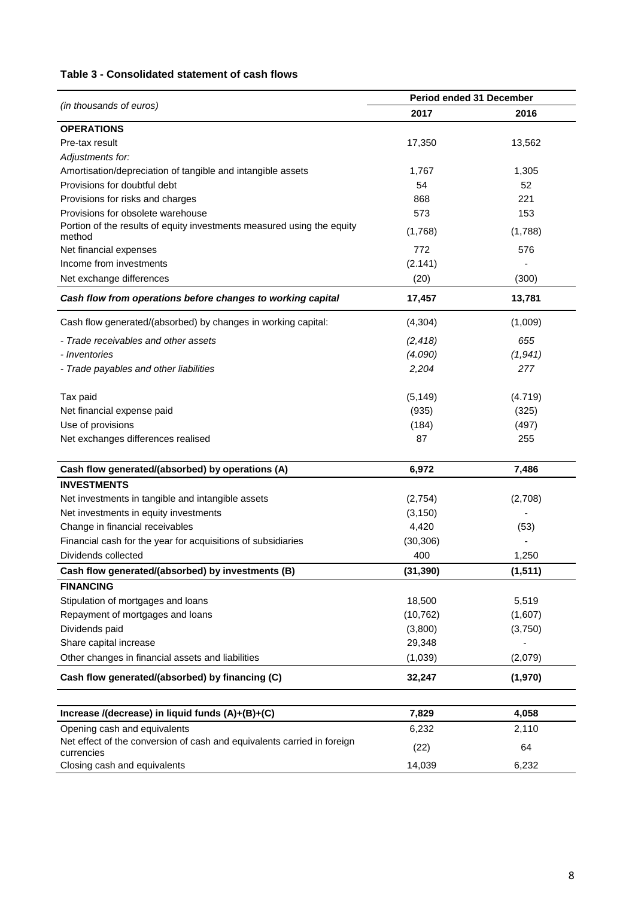# **Table 3 - Consolidated statement of cash flows**

|                                                                                       | Period ended 31 December |          |  |  |
|---------------------------------------------------------------------------------------|--------------------------|----------|--|--|
| (in thousands of euros)                                                               | 2017                     | 2016     |  |  |
| <b>OPERATIONS</b>                                                                     |                          |          |  |  |
| Pre-tax result                                                                        | 17,350                   | 13,562   |  |  |
| Adjustments for:                                                                      |                          |          |  |  |
| Amortisation/depreciation of tangible and intangible assets                           | 1,767                    | 1,305    |  |  |
| Provisions for doubtful debt                                                          | 54                       | 52       |  |  |
| Provisions for risks and charges                                                      | 868                      | 221      |  |  |
| Provisions for obsolete warehouse                                                     | 573                      | 153      |  |  |
| Portion of the results of equity investments measured using the equity<br>method      | (1,768)                  | (1,788)  |  |  |
| Net financial expenses                                                                | 772                      | 576      |  |  |
| Income from investments                                                               | (2.141)                  |          |  |  |
| Net exchange differences                                                              | (20)                     | (300)    |  |  |
| Cash flow from operations before changes to working capital                           | 17,457                   | 13,781   |  |  |
| Cash flow generated/(absorbed) by changes in working capital:                         | (4,304)                  | (1,009)  |  |  |
| - Trade receivables and other assets                                                  | (2, 418)                 | 655      |  |  |
| - Inventories                                                                         | (4.090)                  | (1,941)  |  |  |
| - Trade payables and other liabilities                                                | 2,204                    | 277      |  |  |
| Tax paid                                                                              | (5, 149)                 | (4.719)  |  |  |
| Net financial expense paid                                                            | (935)                    | (325)    |  |  |
| Use of provisions                                                                     | (184)                    | (497)    |  |  |
| Net exchanges differences realised                                                    | 87                       | 255      |  |  |
|                                                                                       |                          |          |  |  |
| Cash flow generated/(absorbed) by operations (A)                                      | 6,972                    | 7,486    |  |  |
| <b>INVESTMENTS</b>                                                                    |                          |          |  |  |
| Net investments in tangible and intangible assets                                     | (2,754)                  | (2,708)  |  |  |
| Net investments in equity investments                                                 | (3, 150)                 |          |  |  |
| Change in financial receivables                                                       | 4,420                    | (53)     |  |  |
| Financial cash for the year for acquisitions of subsidiaries                          | (30, 306)                |          |  |  |
| Dividends collected                                                                   | 400                      | 1,250    |  |  |
| Cash flow generated/(absorbed) by investments (B)                                     | (31, 390)                | (1, 511) |  |  |
| <b>FINANCING</b>                                                                      |                          |          |  |  |
| Stipulation of mortgages and loans                                                    | 18,500                   | 5,519    |  |  |
| Repayment of mortgages and loans                                                      | (10, 762)                | (1,607)  |  |  |
| Dividends paid                                                                        | (3,800)                  | (3,750)  |  |  |
| Share capital increase                                                                | 29,348                   |          |  |  |
| Other changes in financial assets and liabilities                                     | (1,039)                  | (2,079)  |  |  |
| Cash flow generated/(absorbed) by financing (C)                                       | 32,247                   | (1,970)  |  |  |
|                                                                                       |                          |          |  |  |
| Increase /(decrease) in liquid funds (A)+(B)+(C)                                      | 7,829                    | 4,058    |  |  |
| Opening cash and equivalents                                                          | 6,232                    | 2,110    |  |  |
| Net effect of the conversion of cash and equivalents carried in foreign<br>currencies | (22)                     | 64       |  |  |
| Closing cash and equivalents                                                          | 14,039                   | 6,232    |  |  |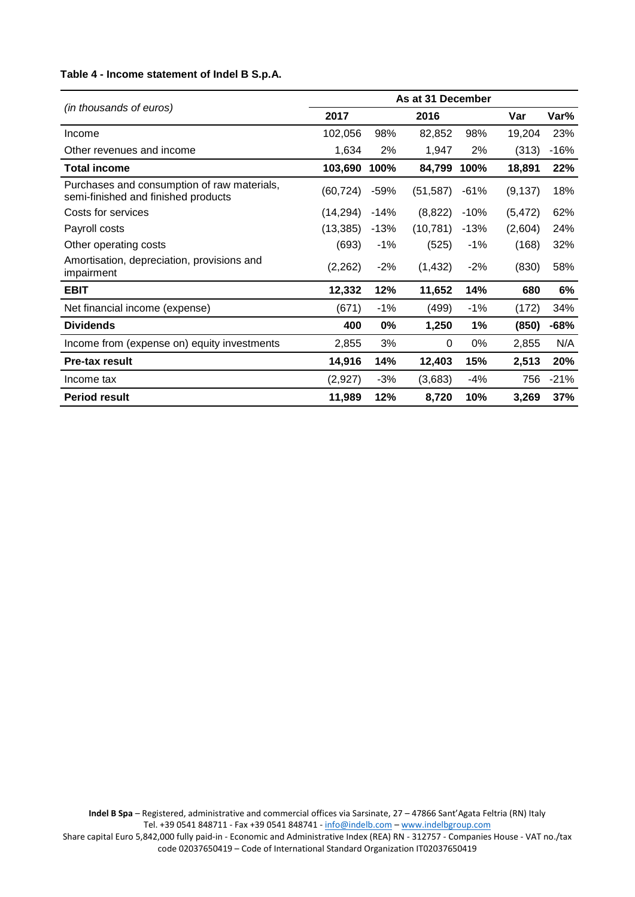## **Table 4 - Income statement of Indel B S.p.A.**

|                                                                                    | As at 31 December |        |           |        |          |        |
|------------------------------------------------------------------------------------|-------------------|--------|-----------|--------|----------|--------|
| (in thousands of euros)                                                            | 2017              |        | 2016      |        | Var      | Var%   |
| Income                                                                             | 102,056           | 98%    | 82,852    | 98%    | 19,204   | 23%    |
| Other revenues and income                                                          | 1,634             | 2%     | 1,947     | 2%     | (313)    | $-16%$ |
| <b>Total income</b>                                                                | 103,690           | 100%   | 84,799    | 100%   | 18,891   | 22%    |
| Purchases and consumption of raw materials,<br>semi-finished and finished products | (60, 724)         | $-59%$ | (51, 587) | -61%   | (9, 137) | 18%    |
| Costs for services                                                                 | (14, 294)         | $-14%$ | (8,822)   | $-10%$ | (5, 472) | 62%    |
| Payroll costs                                                                      | (13, 385)         | $-13%$ | (10, 781) | $-13%$ | (2,604)  | 24%    |
| Other operating costs                                                              | (693)             | $-1%$  | (525)     | $-1%$  | (168)    | 32%    |
| Amortisation, depreciation, provisions and<br>impairment                           | (2,262)           | $-2%$  | (1, 432)  | $-2%$  | (830)    | 58%    |
| <b>EBIT</b>                                                                        | 12,332            | 12%    | 11,652    | 14%    | 680      | 6%     |
| Net financial income (expense)                                                     | (671)             | $-1%$  | (499)     | $-1%$  | (172)    | 34%    |
| <b>Dividends</b>                                                                   | 400               | $0\%$  | 1,250     | 1%     | (850)    | $-68%$ |
| Income from (expense on) equity investments                                        | 2,855             | 3%     | $\Omega$  | 0%     | 2,855    | N/A    |
| <b>Pre-tax result</b>                                                              | 14,916            | 14%    | 12,403    | 15%    | 2,513    | 20%    |
| Income tax                                                                         | (2,927)           | $-3%$  | (3,683)   | $-4%$  | 756      | $-21%$ |
| <b>Period result</b>                                                               | 11,989            | 12%    | 8,720     | 10%    | 3,269    | 37%    |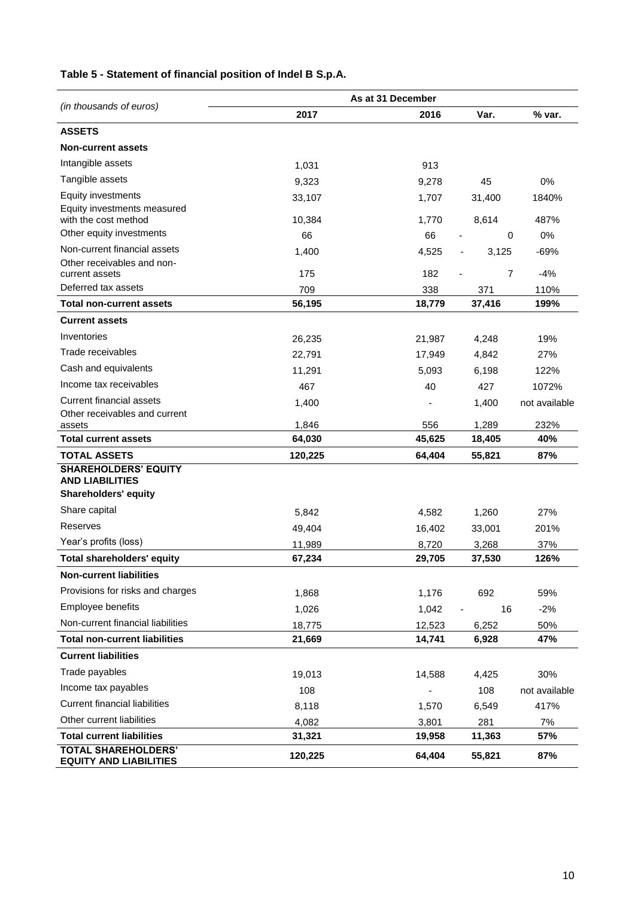|                                                             |         | As at 31 December |                |               |  |
|-------------------------------------------------------------|---------|-------------------|----------------|---------------|--|
| (in thousands of euros)                                     | 2017    | 2016              | Var.           | % var.        |  |
| <b>ASSETS</b>                                               |         |                   |                |               |  |
| <b>Non-current assets</b>                                   |         |                   |                |               |  |
| Intangible assets                                           | 1,031   | 913               |                |               |  |
| Tangible assets                                             | 9,323   | 9,278             | 45             | 0%            |  |
| Equity investments                                          | 33,107  | 1,707             | 31,400         | 1840%         |  |
| Equity investments measured<br>with the cost method         |         |                   |                |               |  |
| Other equity investments                                    | 10,384  | 1,770             | 8,614          | 487%          |  |
| Non-current financial assets                                | 66      | 66                | 0              | 0%            |  |
| Other receivables and non-                                  | 1,400   | 4,525             | 3,125<br>-     | $-69%$        |  |
| current assets                                              | 175     | 182               | $\overline{7}$ | $-4%$         |  |
| Deferred tax assets                                         | 709     | 338               | 371            | 110%          |  |
| <b>Total non-current assets</b>                             | 56,195  | 18,779            | 37,416         | 199%          |  |
| <b>Current assets</b>                                       |         |                   |                |               |  |
| Inventories                                                 | 26,235  | 21,987            | 4,248          | 19%           |  |
| Trade receivables                                           | 22,791  | 17,949            | 4,842          | 27%           |  |
| Cash and equivalents                                        | 11,291  | 5,093             | 6,198          | 122%          |  |
| Income tax receivables                                      | 467     | 40                | 427            | 1072%         |  |
| <b>Current financial assets</b>                             | 1,400   |                   | 1,400          | not available |  |
| Other receivables and current                               | 1,846   | 556               | 1,289          | 232%          |  |
| assets<br><b>Total current assets</b>                       | 64,030  | 45,625            | 18,405         | 40%           |  |
| <b>TOTAL ASSETS</b>                                         | 120,225 | 64,404            | 55,821         | 87%           |  |
| <b>SHAREHOLDERS' EQUITY</b>                                 |         |                   |                |               |  |
| <b>AND LIABILITIES</b>                                      |         |                   |                |               |  |
| Shareholders' equity                                        |         |                   |                |               |  |
| Share capital                                               | 5,842   | 4,582             | 1,260          | 27%           |  |
| Reserves                                                    | 49,404  | 16,402            | 33,001         | 201%          |  |
| Year's profits (loss)                                       | 11,989  | 8,720             | 3,268          | 37%           |  |
| <b>Total shareholders' equity</b>                           | 67,234  | 29,705            | 37,530         | 126%          |  |
| <b>Non-current liabilities</b>                              |         |                   |                |               |  |
| Provisions for risks and charges                            | 1,868   | 1,176             | 692            | 59%           |  |
| Employee benefits                                           | 1,026   | 1,042             | 16             | $-2%$         |  |
| Non-current financial liabilities                           | 18,775  | 12,523            | 6,252          | 50%           |  |
| <b>Total non-current liabilities</b>                        | 21,669  | 14,741            | 6,928          | 47%           |  |
| <b>Current liabilities</b>                                  |         |                   |                |               |  |
| Trade payables                                              | 19,013  | 14,588            | 4,425          | 30%           |  |
| Income tax payables                                         | 108     |                   | 108            | not available |  |
| <b>Current financial liabilities</b>                        | 8,118   | 1,570             | 6,549          | 417%          |  |
| Other current liabilities                                   | 4,082   | 3,801             | 281            | 7%            |  |
| <b>Total current liabilities</b>                            | 31,321  | 19,958            | 11,363         | 57%           |  |
| <b>TOTAL SHAREHOLDERS'</b><br><b>EQUITY AND LIABILITIES</b> | 120,225 | 64,404            | 55,821         | 87%           |  |

# **Table 5 - Statement of financial position of Indel B S.p.A.**